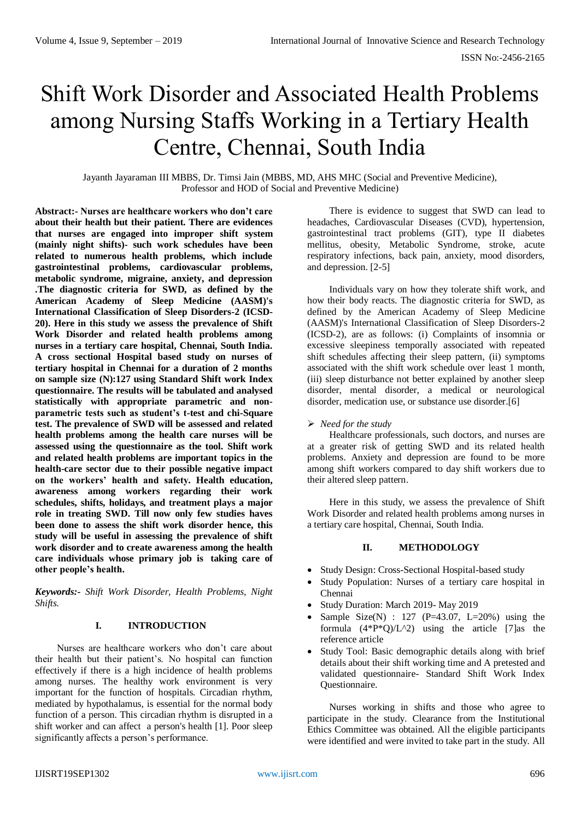# Shift Work Disorder and Associated Health Problems among Nursing Staffs Working in a Tertiary Health Centre, Chennai, South India

Jayanth Jayaraman III MBBS, Dr. Timsi Jain (MBBS, MD, AHS MHC (Social and Preventive Medicine), Professor and HOD of Social and Preventive Medicine)

**Abstract:- Nurses are healthcare workers who don't care about their health but their patient. There are evidences that nurses are engaged into improper shift system (mainly night shifts)- such work schedules have been related to numerous health problems, which include gastrointestinal problems, cardiovascular problems, metabolic syndrome, migraine, anxiety, and depression .The diagnostic criteria for SWD, as defined by the American Academy of Sleep Medicine (AASM)'s International Classification of Sleep Disorders-2 (ICSD-20). Here in this study we assess the prevalence of Shift Work Disorder and related health problems among nurses in a tertiary care hospital, Chennai, South India. A cross sectional Hospital based study on nurses of tertiary hospital in Chennai for a duration of 2 months on sample size (N):127 using Standard Shift work Index questionnaire. The results will be tabulated and analysed statistically with appropriate parametric and nonparametric tests such as student's t-test and chi-Square test. The prevalence of SWD will be assessed and related health problems among the health care nurses will be assessed using the questionnaire as the tool. Shift work and related health problems are important topics in the health-care sector due to their possible negative impact on the workers' health and safety. Health education, awareness among workers regarding their work schedules, shifts, holidays, and treatment plays a major role in treating SWD. Till now only few studies haves been done to assess the shift work disorder hence, this study will be useful in assessing the prevalence of shift work disorder and to create awareness among the health care individuals whose primary job is taking care of other people's health.**

*Keywords:- Shift Work Disorder, Health Problems, Night Shifts.*

#### **I. INTRODUCTION**

Nurses are healthcare workers who don't care about their health but their patient's. No hospital can function effectively if there is a high incidence of health problems among nurses. The healthy work environment is very important for the function of hospitals. Circadian rhythm, mediated by hypothalamus, is essential for the normal body function of a person. This circadian rhythm is disrupted in a shift worker and can affect a person's health [1]. Poor sleep significantly affects a person's performance.

There is evidence to suggest that SWD can lead to headaches, Cardiovascular Diseases (CVD), hypertension, gastrointestinal tract problems (GIT), type II diabetes mellitus, obesity, Metabolic Syndrome, stroke, acute respiratory infections, back pain, anxiety, mood disorders, and depression. [2-5]

Individuals vary on how they tolerate shift work, and how their body reacts. The diagnostic criteria for SWD, as defined by the American Academy of Sleep Medicine (AASM)'s International Classification of Sleep Disorders-2 (ICSD-2), are as follows: (i) Complaints of insomnia or excessive sleepiness temporally associated with repeated shift schedules affecting their sleep pattern, (ii) symptoms associated with the shift work schedule over least 1 month, (iii) sleep disturbance not better explained by another sleep disorder, mental disorder, a medical or neurological disorder, medication use, or substance use disorder.[6]

## *Need for the study*

Healthcare professionals, such doctors, and nurses are at a greater risk of getting SWD and its related health problems. Anxiety and depression are found to be more among shift workers compared to day shift workers due to their altered sleep pattern.

Here in this study, we assess the prevalence of Shift Work Disorder and related health problems among nurses in a tertiary care hospital, Chennai, South India.

### **II. METHODOLOGY**

- Study Design: Cross-Sectional Hospital-based study
- Study Population: Nurses of a tertiary care hospital in Chennai
- Study Duration: March 2019- May 2019
- Sample Size(N) :  $127$  (P=43.07, L=20%) using the formula  $(4^*P^*Q)/L^2$ ) using the article [7]as the reference article
- Study Tool: Basic demographic details along with brief details about their shift working time and A pretested and validated questionnaire- Standard Shift Work Index Questionnaire.

Nurses working in shifts and those who agree to participate in the study. Clearance from the Institutional Ethics Committee was obtained. All the eligible participants were identified and were invited to take part in the study. All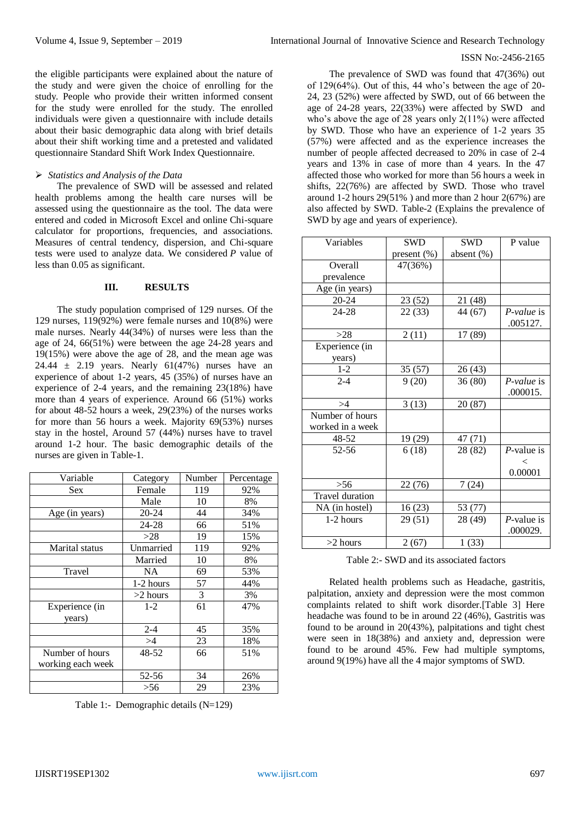#### ISSN No:-2456-2165

the eligible participants were explained about the nature of the study and were given the choice of enrolling for the study. People who provide their written informed consent for the study were enrolled for the study. The enrolled individuals were given a questionnaire with include details about their basic demographic data along with brief details about their shift working time and a pretested and validated questionnaire Standard Shift Work Index Questionnaire.

## *Statistics and Analysis of the Data*

The prevalence of SWD will be assessed and related health problems among the health care nurses will be assessed using the questionnaire as the tool. The data were entered and coded in Microsoft Excel and online Chi-square calculator for proportions, frequencies, and associations. Measures of central tendency, dispersion, and Chi-square tests were used to analyze data. We considered *P* value of less than 0.05 as significant.

#### **III. RESULTS**

The study population comprised of 129 nurses. Of the 129 nurses, 119(92%) were female nurses and 10(8%) were male nurses. Nearly 44(34%) of nurses were less than the age of 24, 66(51%) were between the age 24-28 years and 19(15%) were above the age of 28, and the mean age was 24.44  $\pm$  2.19 years. Nearly 61(47%) nurses have an experience of about 1-2 years, 45 (35%) of nurses have an experience of 2-4 years, and the remaining 23(18%) have more than 4 years of experience. Around 66 (51%) works for about 48-52 hours a week, 29(23%) of the nurses works for more than 56 hours a week. Majority 69(53%) nurses stay in the hostel, Around 57 (44%) nurses have to travel around 1-2 hour. The basic demographic details of the nurses are given in Table-1.

| Variable          | Category   | Number | Percentage |
|-------------------|------------|--------|------------|
| <b>Sex</b>        | Female     | 119    | 92%        |
|                   | Male       | 10     | 8%         |
| Age (in years)    | $20 - 24$  | 44     | 34%        |
|                   | 24-28      | 66     | 51%        |
|                   | >28        | 19     | 15%        |
| Marital status    | Unmarried  | 119    | 92%        |
|                   | Married    | 10     | 8%         |
| Travel            | NA.        | 69     | 53%        |
|                   | 1-2 hours  | 57     | 44%        |
|                   | $>2$ hours | 3      | 3%         |
| Experience (in    | $1-2$      | 61     | 47%        |
| years)            |            |        |            |
|                   | $2 - 4$    | 45     | 35%        |
|                   | >4         | 23     | 18%        |
| Number of hours   | 48-52      | 66     | 51%        |
| working each week |            |        |            |
|                   | 52-56      | 34     | 26%        |
|                   | >56        | 29     | 23%        |

Table 1:- Demographic details (N=129)

The prevalence of SWD was found that 47(36%) out of 129(64%). Out of this, 44 who's between the age of 20- 24, 23 (52%) were affected by SWD, out of 66 between the age of 24-28 years, 22(33%) were affected by SWD and who's above the age of 28 years only 2(11%) were affected by SWD. Those who have an experience of 1-2 years 35 (57%) were affected and as the experience increases the number of people affected decreased to 20% in case of 2-4 years and 13% in case of more than 4 years. In the 47 affected those who worked for more than 56 hours a week in shifts, 22(76%) are affected by SWD. Those who travel around 1-2 hours  $29(51\%)$  and more than 2 hour  $2(67\%)$  are also affected by SWD. Table-2 (Explains the prevalence of SWD by age and years of experience).

| Variables              | <b>SWD</b>  | <b>SWD</b>    | P value       |
|------------------------|-------------|---------------|---------------|
|                        | present (%) | absent $(\%)$ |               |
| Overall                | 47(36%)     |               |               |
| prevalence             |             |               |               |
| Age (in years)         |             |               |               |
| $20 - 24$              | 23 (52)     | 21 (48)       |               |
| $24 - 28$              | 22(33)      | 44 (67)       | $P-value$ is  |
|                        |             |               | .005127.      |
| >28                    | 2(11)       | 17 (89)       |               |
| Experience (in         |             |               |               |
| years)                 |             |               |               |
| $1 - 2$                | 35 (57)     | 26(43)        |               |
| $2 - 4$                | 9(20)       | 36(80)        | P-value is    |
|                        |             |               | .000015.      |
| >4                     | 3(13)       | 20(87)        |               |
| Number of hours        |             |               |               |
| worked in a week       |             |               |               |
| 48-52                  | 19 (29)     | 47 (71)       |               |
| $52 - 56$              | 6(18)       | 28 (82)       | $P$ -value is |
|                        |             |               | $\,<\,$       |
|                        |             |               | 0.00001       |
| > 56                   | 22 (76)     | 7(24)         |               |
| <b>Travel</b> duration |             |               |               |
| NA (in hostel)         | 16(23)      | 53 (77)       |               |
| 1-2 hours              | 29(51)      | 28 (49)       | $P$ -value is |
|                        |             |               | .000029.      |
| $>2$ hours             | 2(67)       | 1(33)         |               |

Table 2:- SWD and its associated factors

Related health problems such as Headache, gastritis, palpitation, anxiety and depression were the most common complaints related to shift work disorder.[Table 3] Here headache was found to be in around 22 (46%), Gastritis was found to be around in 20(43%), palpitations and tight chest were seen in 18(38%) and anxiety and, depression were found to be around 45%. Few had multiple symptoms, around 9(19%) have all the 4 major symptoms of SWD.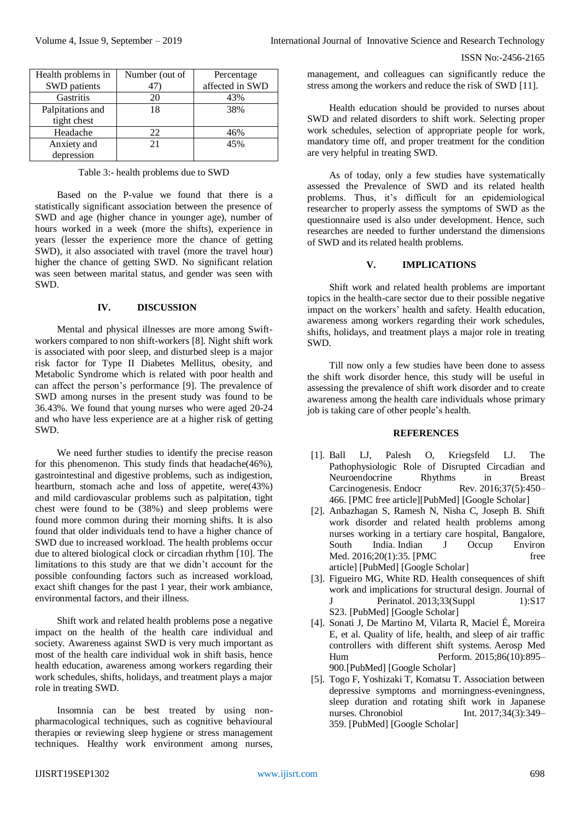ISSN No:-2456-2165

| Health problems in | Number (out of | Percentage      |
|--------------------|----------------|-----------------|
| SWD patients       | 41             | affected in SWD |
| Gastritis          | 20             | 43%             |
| Palpitations and   | 18             | 38%             |
| tight chest        |                |                 |
| Headache           | 22             | 46%             |
| Anxiety and        | 21             | 45%             |
| depression         |                |                 |

Table 3:- health problems due to SWD

Based on the P-value we found that there is a statistically significant association between the presence of SWD and age (higher chance in younger age), number of hours worked in a week (more the shifts), experience in years (lesser the experience more the chance of getting SWD), it also associated with travel (more the travel hour) higher the chance of getting SWD. No significant relation was seen between marital status, and gender was seen with SWD.

## **IV. DISCUSSION**

Mental and physical illnesses are more among Swiftworkers compared to non shift-workers [8]. Night shift work is associated with poor sleep, and disturbed sleep is a major risk factor for Type II Diabetes Mellitus, obesity, and Metabolic Syndrome which is related with poor health and can affect the person's performance [9]. The prevalence of SWD among nurses in the present study was found to be 36.43%. We found that young nurses who were aged 20-24 and who have less experience are at a higher risk of getting SWD.

We need further studies to identify the precise reason for this phenomenon. This study finds that headache(46%), gastrointestinal and digestive problems, such as indigestion, heartburn, stomach ache and loss of appetite, were(43%) and mild cardiovascular problems such as palpitation, tight chest were found to be (38%) and sleep problems were found more common during their morning shifts. It is also found that older individuals tend to have a higher chance of SWD due to increased workload. The health problems occur due to altered biological clock or circadian rhythm [10]. The limitations to this study are that we didn't account for the possible confounding factors such as increased workload, exact shift changes for the past 1 year, their work ambiance, environmental factors, and their illness.

Shift work and related health problems pose a negative impact on the health of the health care individual and society. Awareness against SWD is very much important as most of the health care individual wok in shift basis, hence health education, awareness among workers regarding their work schedules, shifts, holidays, and treatment plays a major role in treating SWD.

Insomnia can be best treated by using nonpharmacological techniques, such as cognitive behavioural therapies or reviewing sleep hygiene or stress management techniques. Healthy work environment among nurses,

management, and colleagues can significantly reduce the stress among the workers and reduce the risk of SWD [11].

Health education should be provided to nurses about SWD and related disorders to shift work. Selecting proper work schedules, selection of appropriate people for work, mandatory time off, and proper treatment for the condition are very helpful in treating SWD.

As of today, only a few studies have systematically assessed the Prevalence of SWD and its related health problems. Thus, it's difficult for an epidemiological researcher to properly assess the symptoms of SWD as the questionnaire used is also under development. Hence, such researches are needed to further understand the dimensions of SWD and its related health problems.

## **V. IMPLICATIONS**

Shift work and related health problems are important topics in the health-care sector due to their possible negative impact on the workers' health and safety. Health education, awareness among workers regarding their work schedules, shifts, holidays, and treatment plays a major role in treating SWD.

Till now only a few studies have been done to assess the shift work disorder hence, this study will be useful in assessing the prevalence of shift work disorder and to create awareness among the health care individuals whose primary job is taking care of other people's health.

## **REFERENCES**

- [1]. Ball LJ, Palesh O, Kriegsfeld LJ. The Pathophysiologic Role of Disrupted Circadian and Neuroendocrine Rhythms in Breast Carcinogenesis. Endocr Rev. 2016;37(5):450– 466. [\[PMC free article\]](https://www.ncbi.nlm.nih.gov/pmc/articles/PMC5045494/)[\[PubMed\]](https://www.ncbi.nlm.nih.gov/pubmed/27712099) [\[Google Scholar\]](https://scholar.google.com/scholar_lookup?journal=Endocr+Rev&title=The+Pathophysiologic+Role+of+Disrupted+Circadian+andNeuroendocrine+Rhythms+in+Breast+Carcinogenesis&author=LJ+Ball&author=O+Palesh&author=LJ+Kriegsfeld&volume=37&issue=5&publication_year=2016&pages=450-466&pmid=27712099&)
- [2]. Anbazhagan S, Ramesh N, Nisha C, Joseph B. Shift work disorder and related health problems among nurses working in a tertiary care hospital, Bangalore, South India. Indian J Occup Environ Med. 2016;20(1):35. [PMC free [article\]](https://www.ncbi.nlm.nih.gov/pmc/articles/PMC4922274/) [\[PubMed\]](https://www.ncbi.nlm.nih.gov/pubmed/27390478) [\[Google Scholar\]](https://scholar.google.com/scholar_lookup?journal=Indian+J+Occup+Environ+Med&title=Shift+work+disorder+and+related+health+problems+among+nursesworking+in+a+tertiary+care+hospital,+Bangalore,+South+India&author=S+Anbazhagan&author=N+Ramesh&author=C+Nisha&author=B+Joseph&volume=20&issue=1&publication_year=2016&pages=35&pmid=27390478&)
- [3]. Figueiro MG, White RD. Health consequences of shift work and implications for structural design. Journal of J Perinatol. 2013;33(Suppl 1):S17 S23. [\[PubMed\]](https://www.ncbi.nlm.nih.gov/pubmed/23536025) [\[Google Scholar\]](https://scholar.google.com/scholar_lookup?journal=Journal+of+J+Perinatol&title=Health+consequences+of+shift+work+and+implications+for+structuraldesign&author=MG+Figueiro&author=RD+White&volume=33&issue=Suppl+1&publication_year=2013&pages=S17-S23&)
- [4]. Sonati J, De Martino M, Vilarta R, Maciel É, Moreira E, et al. Quality of life, health, and sleep of air traffic controllers with different shift systems. Aerosp Med Hum Perform. 2015;86(10):895– 900.[\[PubMed\]](https://www.ncbi.nlm.nih.gov/pubmed/26564677) [\[Google Scholar\]](https://scholar.google.com/scholar_lookup?journal=Aerosp+Med+Hum+Perform&title=Quality+of+life,+health,+and+sleep+of+air+traffic+controllerswith+different+shift+systems&author=J+Sonati&author=M+De+Martino&author=R+Vilarta&author=%C3%89+Maciel&author=E+Moreira&volume=86&issue=10&publication_year=2015&pages=895-900&pmid=26564677&)
- [5]. Togo F, Yoshizaki T, Komatsu T. Association between depressive symptoms and morningness-eveningness, sleep duration and rotating shift work in Japanese nurses. Chronobiol Int. 2017;34(3):349– 359. [\[PubMed\]](https://www.ncbi.nlm.nih.gov/pubmed/28107042) [\[Google Scholar\]](https://scholar.google.com/scholar_lookup?journal=Chronobiol+Int&title=Association+between+depressive+symptoms+andmorningness-eveningness,+sleep+duration+and+rotating+shift+work+in+Japanesenurses&author=F+Togo&author=T+Yoshizaki&author=T+Komatsu&volume=34&issue=3&publication_year=2017&pages=349-359&pmid=28107042&)